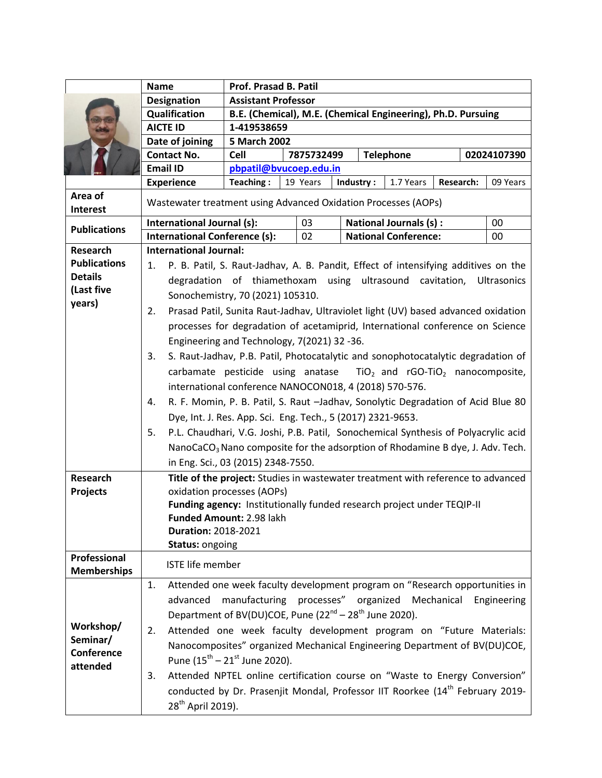|                            | <b>Name</b>                                                                              | Prof. Prasad B. Patil                                                                     |                                    |  |                  |  |                       |  |  |  |
|----------------------------|------------------------------------------------------------------------------------------|-------------------------------------------------------------------------------------------|------------------------------------|--|------------------|--|-----------------------|--|--|--|
|                            | <b>Designation</b>                                                                       | <b>Assistant Professor</b>                                                                |                                    |  |                  |  |                       |  |  |  |
|                            | Qualification                                                                            | B.E. (Chemical), M.E. (Chemical Engineering), Ph.D. Pursuing                              |                                    |  |                  |  |                       |  |  |  |
|                            | <b>AICTE ID</b>                                                                          | 1-419538659                                                                               |                                    |  |                  |  |                       |  |  |  |
|                            | Date of joining                                                                          | 5 March 2002                                                                              |                                    |  |                  |  |                       |  |  |  |
|                            | <b>Contact No.</b>                                                                       | <b>Cell</b>                                                                               | 7875732499                         |  | <b>Telephone</b> |  | 02024107390           |  |  |  |
|                            | <b>Email ID</b>                                                                          | pbpatil@bvucoep.edu.in                                                                    |                                    |  |                  |  |                       |  |  |  |
|                            | <b>Experience</b>                                                                        | Teaching:                                                                                 | Industry:<br>19 Years<br>1.7 Years |  |                  |  | Research:<br>09 Years |  |  |  |
| Area of<br><b>Interest</b> | Wastewater treatment using Advanced Oxidation Processes (AOPs)                           |                                                                                           |                                    |  |                  |  |                       |  |  |  |
|                            | International Journal (s):<br>03<br><b>National Journals (s):</b><br>00                  |                                                                                           |                                    |  |                  |  |                       |  |  |  |
| <b>Publications</b>        | <b>International Conference (s):</b>                                                     |                                                                                           | <b>National Conference:</b><br>02  |  |                  |  | 00                    |  |  |  |
| <b>Research</b>            | <b>International Journal:</b>                                                            |                                                                                           |                                    |  |                  |  |                       |  |  |  |
| <b>Publications</b>        | P. B. Patil, S. Raut-Jadhav, A. B. Pandit, Effect of intensifying additives on the<br>1. |                                                                                           |                                    |  |                  |  |                       |  |  |  |
| <b>Details</b>             | degradation of thiamethoxam using ultrasound<br>cavitation,<br><b>Ultrasonics</b>        |                                                                                           |                                    |  |                  |  |                       |  |  |  |
| (Last five                 | Sonochemistry, 70 (2021) 105310.                                                         |                                                                                           |                                    |  |                  |  |                       |  |  |  |
| years)                     |                                                                                          |                                                                                           |                                    |  |                  |  |                       |  |  |  |
|                            | Prasad Patil, Sunita Raut-Jadhav, Ultraviolet light (UV) based advanced oxidation<br>2.  |                                                                                           |                                    |  |                  |  |                       |  |  |  |
|                            | processes for degradation of acetamiprid, International conference on Science            |                                                                                           |                                    |  |                  |  |                       |  |  |  |
|                            |                                                                                          | Engineering and Technology, 7(2021) 32 -36.                                               |                                    |  |                  |  |                       |  |  |  |
|                            | 3.                                                                                       | S. Raut-Jadhav, P.B. Patil, Photocatalytic and sonophotocatalytic degradation of          |                                    |  |                  |  |                       |  |  |  |
|                            |                                                                                          | carbamate pesticide using anatase $TiO2$ and rGO-TiO <sub>2</sub> nanocomposite,          |                                    |  |                  |  |                       |  |  |  |
|                            |                                                                                          | international conference NANOCON018, 4 (2018) 570-576.                                    |                                    |  |                  |  |                       |  |  |  |
|                            | 4.                                                                                       | R. F. Momin, P. B. Patil, S. Raut -Jadhav, Sonolytic Degradation of Acid Blue 80          |                                    |  |                  |  |                       |  |  |  |
|                            |                                                                                          | Dye, Int. J. Res. App. Sci. Eng. Tech., 5 (2017) 2321-9653.                               |                                    |  |                  |  |                       |  |  |  |
|                            | 5.                                                                                       | P.L. Chaudhari, V.G. Joshi, P.B. Patil, Sonochemical Synthesis of Polyacrylic acid        |                                    |  |                  |  |                       |  |  |  |
|                            |                                                                                          | NanoCaCO <sub>3</sub> Nano composite for the adsorption of Rhodamine B dye, J. Adv. Tech. |                                    |  |                  |  |                       |  |  |  |
|                            |                                                                                          | in Eng. Sci., 03 (2015) 2348-7550.                                                        |                                    |  |                  |  |                       |  |  |  |
| <b>Research</b>            | Title of the project: Studies in wastewater treatment with reference to advanced         |                                                                                           |                                    |  |                  |  |                       |  |  |  |
| <b>Projects</b>            | oxidation processes (AOPs)                                                               |                                                                                           |                                    |  |                  |  |                       |  |  |  |
|                            |                                                                                          | Funding agency: Institutionally funded research project under TEQIP-II                    |                                    |  |                  |  |                       |  |  |  |
|                            |                                                                                          | <b>Funded Amount: 2.98 lakh</b>                                                           |                                    |  |                  |  |                       |  |  |  |
|                            |                                                                                          | <b>Duration: 2018-2021</b>                                                                |                                    |  |                  |  |                       |  |  |  |
|                            | <b>Status: ongoing</b>                                                                   |                                                                                           |                                    |  |                  |  |                       |  |  |  |
| Professional               | <b>ISTE life member</b>                                                                  |                                                                                           |                                    |  |                  |  |                       |  |  |  |
| <b>Memberships</b>         |                                                                                          |                                                                                           |                                    |  |                  |  |                       |  |  |  |
|                            |                                                                                          | Attended one week faculty development program on "Research opportunities in<br>1.         |                                    |  |                  |  |                       |  |  |  |
|                            | manufacturing processes" organized Mechanical<br>advanced<br>Engineering                 |                                                                                           |                                    |  |                  |  |                       |  |  |  |
| Workshop/                  | Department of BV(DU)COE, Pune (22 <sup>nd</sup> – 28 <sup>th</sup> June 2020).           |                                                                                           |                                    |  |                  |  |                       |  |  |  |
| Seminar/                   | Attended one week faculty development program on "Future Materials:<br>2.                |                                                                                           |                                    |  |                  |  |                       |  |  |  |
| Conference                 |                                                                                          | Nanocomposites" organized Mechanical Engineering Department of BV(DU)COE,                 |                                    |  |                  |  |                       |  |  |  |
| attended                   | Pune $(15^{th} - 21^{st}$ June 2020).                                                    |                                                                                           |                                    |  |                  |  |                       |  |  |  |
|                            | 3.                                                                                       | Attended NPTEL online certification course on "Waste to Energy Conversion"                |                                    |  |                  |  |                       |  |  |  |
|                            |                                                                                          | conducted by Dr. Prasenjit Mondal, Professor IIT Roorkee (14 <sup>th</sup> February 2019- |                                    |  |                  |  |                       |  |  |  |
|                            | 28 <sup>th</sup> April 2019).                                                            |                                                                                           |                                    |  |                  |  |                       |  |  |  |